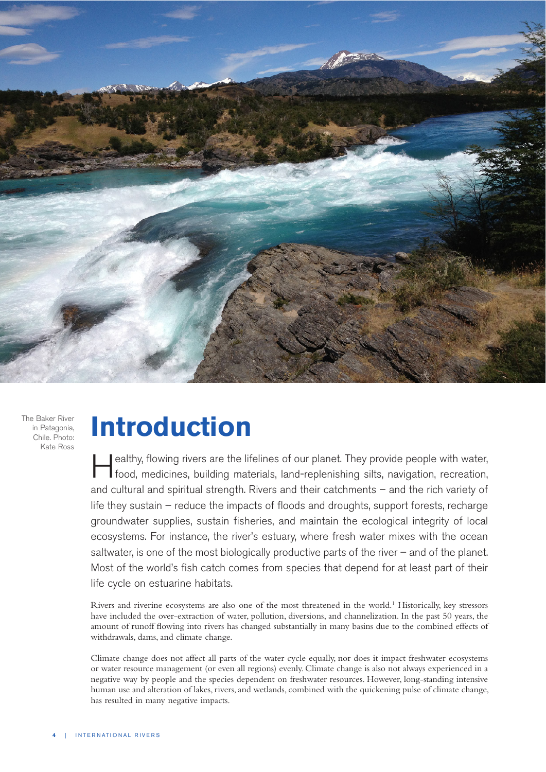

The Baker River in Patagonia, Chile. Photo: Kate Ross

## **Introduction**

ealthy, flowing rivers are the lifelines of our planet. They provide people with water, food, medicines, building materials, land-replenishing silts, navigation, recreation, and cultural and spiritual strength. Rivers and their catchments – and the rich variety of life they sustain – reduce the impacts of floods and droughts, support forests, recharge groundwater supplies, sustain fisheries, and maintain the ecological integrity of local ecosystems. For instance, the river's estuary, where fresh water mixes with the ocean saltwater, is one of the most biologically productive parts of the river  $-$  and of the planet. Most of the world's fish catch comes from species that depend for at least part of their life cycle on estuarine habitats.

Rivers and riverine ecosystems are also one of the most threatened in the world.<sup>1</sup> Historically, key stressors have included the over-extraction of water, pollution, diversions, and channelization. In the past 50 years, the amount of runoff flowing into rivers has changed substantially in many basins due to the combined effects of withdrawals, dams, and climate change.

Climate change does not affect all parts of the water cycle equally, nor does it impact freshwater ecosystems or water resource management (or even all regions) evenly. Climate change is also not always experienced in a negative way by people and the species dependent on freshwater resources. However, long-standing intensive human use and alteration of lakes, rivers, and wetlands, combined with the quickening pulse of climate change, has resulted in many negative impacts.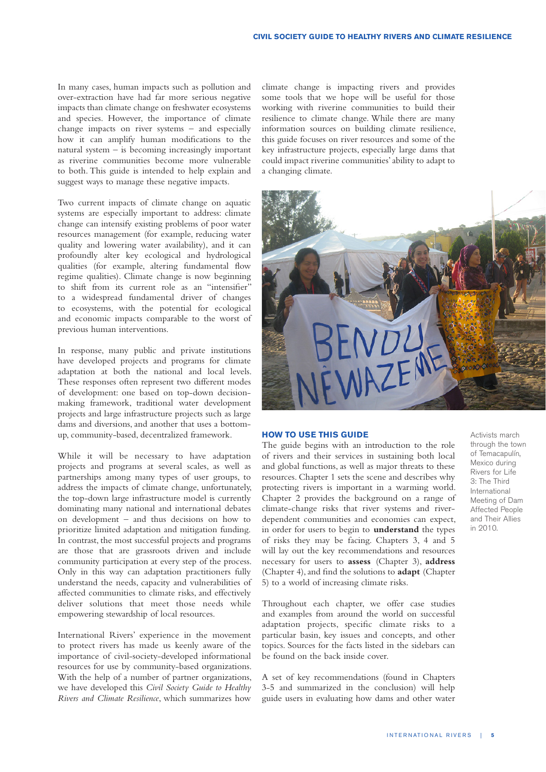In many cases, human impacts such as pollution and over-extraction have had far more serious negative impacts than climate change on freshwater ecosystems and species. However, the importance of climate change impacts on river systems – and especially how it can amplify human modifications to the natural system – is becoming increasingly important as riverine communities become more vulnerable to both. This guide is intended to help explain and suggest ways to manage these negative impacts.

Two current impacts of climate change on aquatic systems are especially important to address: climate change can intensify existing problems of poor water resources management (for example, reducing water quality and lowering water availability), and it can profoundly alter key ecological and hydrological qualities (for example, altering fundamental flow regime qualities). Climate change is now beginning to shift from its current role as an "intensifier" to a widespread fundamental driver of changes to ecosystems, with the potential for ecological and economic impacts comparable to the worst of previous human interventions.

In response, many public and private institutions have developed projects and programs for climate adaptation at both the national and local levels. These responses often represent two different modes of development: one based on top-down decisionmaking framework, traditional water development projects and large infrastructure projects such as large dams and diversions, and another that uses a bottomup, community-based, decentralized framework.

While it will be necessary to have adaptation projects and programs at several scales, as well as partnerships among many types of user groups, to address the impacts of climate change, unfortunately, the top-down large infrastructure model is currently dominating many national and international debates on development – and thus decisions on how to prioritize limited adaptation and mitigation funding. In contrast, the most successful projects and programs are those that are grassroots driven and include community participation at every step of the process. Only in this way can adaptation practitioners fully understand the needs, capacity and vulnerabilities of affected communities to climate risks, and effectively deliver solutions that meet those needs while empowering stewardship of local resources.

International Rivers' experience in the movement to protect rivers has made us keenly aware of the importance of civil-society-developed informational resources for use by community-based organizations. With the help of a number of partner organizations, we have developed this *Civil Society Guide to Healthy Rivers and Climate Resilience*, which summarizes how

climate change is impacting rivers and provides some tools that we hope will be useful for those working with riverine communities to build their resilience to climate change. While there are many information sources on building climate resilience, this guide focuses on river resources and some of the key infrastructure projects, especially large dams that could impact riverine communities' ability to adapt to a changing climate.



## **HOW TO USE THIS GUIDE**

The guide begins with an introduction to the role of rivers and their services in sustaining both local and global functions, as well as major threats to these resources. Chapter 1 sets the scene and describes why protecting rivers is important in a warming world. Chapter 2 provides the background on a range of climate-change risks that river systems and riverdependent communities and economies can expect, in order for users to begin to **understand** the types of risks they may be facing. Chapters 3, 4 and 5 will lay out the key recommendations and resources necessary for users to **assess** (Chapter 3), **address**  (Chapter 4), and find the solutions to **adapt** (Chapter 5) to a world of increasing climate risks.

Throughout each chapter, we offer case studies and examples from around the world on successful adaptation projects, specific climate risks to a particular basin, key issues and concepts, and other topics. Sources for the facts listed in the sidebars can be found on the back inside cover.

A set of key recommendations (found in Chapters 3-5 and summarized in the conclusion) will help guide users in evaluating how dams and other water Activists march through the town of Temacapulín, Mexico during Rivers for Life 3: The Third International Meeting of Dam Affected People and Their Allies in 2010.